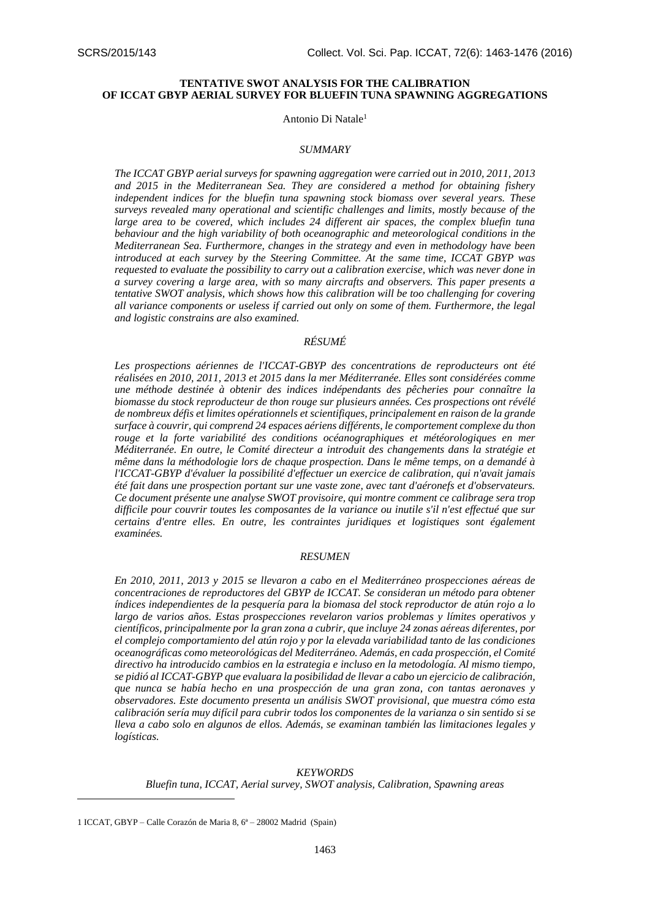# **TENTATIVE SWOT ANALYSIS FOR THE CALIBRATION OF ICCAT GBYP AERIAL SURVEY FOR BLUEFIN TUNA SPAWNING AGGREGATIONS**

#### Antonio Di Natale<sup>1</sup>

#### *SUMMARY*

*The ICCAT GBYP aerial surveys for spawning aggregation were carried out in 2010, 2011, 2013 and 2015 in the Mediterranean Sea. They are considered a method for obtaining fishery independent indices for the bluefin tuna spawning stock biomass over several years. These surveys revealed many operational and scientific challenges and limits, mostly because of the large area to be covered, which includes 24 different air spaces, the complex bluefin tuna behaviour and the high variability of both oceanographic and meteorological conditions in the Mediterranean Sea. Furthermore, changes in the strategy and even in methodology have been introduced at each survey by the Steering Committee. At the same time, ICCAT GBYP was requested to evaluate the possibility to carry out a calibration exercise, which was never done in a survey covering a large area, with so many aircrafts and observers. This paper presents a tentative SWOT analysis, which shows how this calibration will be too challenging for covering all variance components or useless if carried out only on some of them. Furthermore, the legal and logistic constrains are also examined.*

# *RÉSUMÉ*

*Les prospections aériennes de l'ICCAT-GBYP des concentrations de reproducteurs ont été réalisées en 2010, 2011, 2013 et 2015 dans la mer Méditerranée. Elles sont considérées comme une méthode destinée à obtenir des indices indépendants des pêcheries pour connaître la biomasse du stock reproducteur de thon rouge sur plusieurs années. Ces prospections ont révélé de nombreux défis et limites opérationnels et scientifiques, principalement en raison de la grande surface à couvrir, qui comprend 24 espaces aériens différents, le comportement complexe du thon rouge et la forte variabilité des conditions océanographiques et météorologiques en mer Méditerranée. En outre, le Comité directeur a introduit des changements dans la stratégie et même dans la méthodologie lors de chaque prospection. Dans le même temps, on a demandé à l'ICCAT-GBYP d'évaluer la possibilité d'effectuer un exercice de calibration, qui n'avait jamais été fait dans une prospection portant sur une vaste zone, avec tant d'aéronefs et d'observateurs. Ce document présente une analyse SWOT provisoire, qui montre comment ce calibrage sera trop difficile pour couvrir toutes les composantes de la variance ou inutile s'il n'est effectué que sur certains d'entre elles. En outre, les contraintes juridiques et logistiques sont également examinées.*

### *RESUMEN*

*En 2010, 2011, 2013 y 2015 se llevaron a cabo en el Mediterráneo prospecciones aéreas de concentraciones de reproductores del GBYP de ICCAT. Se consideran un método para obtener índices independientes de la pesquería para la biomasa del stock reproductor de atún rojo a lo largo de varios años. Estas prospecciones revelaron varios problemas y límites operativos y científicos, principalmente por la gran zona a cubrir, que incluye 24 zonas aéreas diferentes, por el complejo comportamiento del atún rojo y por la elevada variabilidad tanto de las condiciones oceanográficas como meteorológicas del Mediterráneo. Además, en cada prospección, el Comité directivo ha introducido cambios en la estrategia e incluso en la metodología. Al mismo tiempo, se pidió al ICCAT-GBYP que evaluara la posibilidad de llevar a cabo un ejercicio de calibración, que nunca se había hecho en una prospección de una gran zona, con tantas aeronaves y observadores. Este documento presenta un análisis SWOT provisional, que muestra cómo esta calibración sería muy difícil para cubrir todos los componentes de la varianza o sin sentido si se lleva a cabo solo en algunos de ellos. Además, se examinan también las limitaciones legales y logísticas.*

## *KEYWORDS*

*Bluefin tuna, ICCAT, Aerial survey, SWOT analysis, Calibration, Spawning areas*

1

<sup>1</sup> ICCAT, GBYP – Calle Corazón de Maria 8, 6ª – 28002 Madrid (Spain)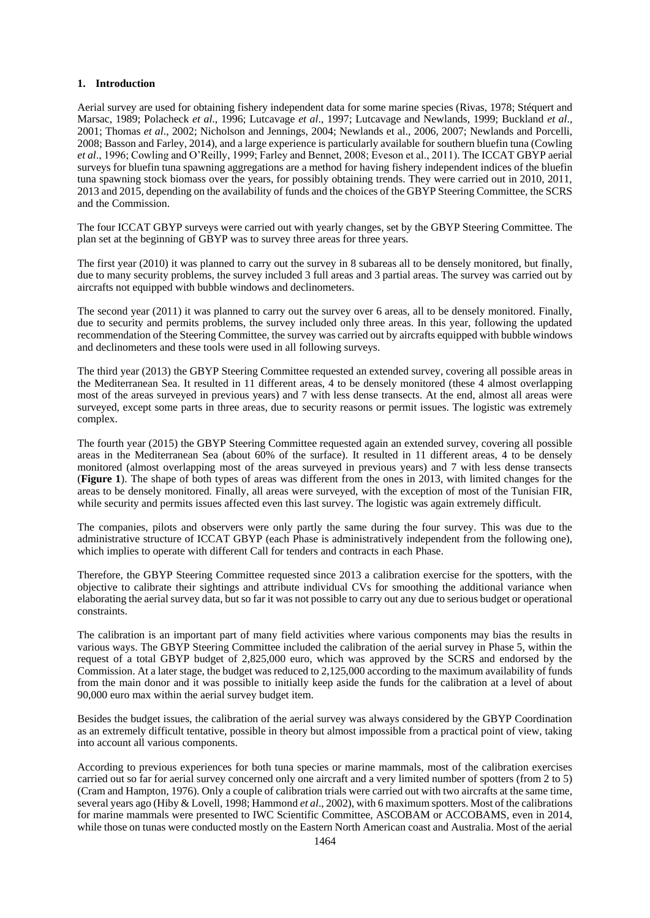## **1. Introduction**

Aerial survey are used for obtaining fishery independent data for some marine species (Rivas, 1978; Stéquert and Marsac, 1989; Polacheck *et al*., 1996; Lutcavage *et al*., 1997; Lutcavage and Newlands, 1999; Buckland *et al*., 2001; Thomas *et al*., 2002; Nicholson and Jennings, 2004; Newlands et al., 2006, 2007; Newlands and Porcelli, 2008; Basson and Farley, 2014), and a large experience is particularly available for southern bluefin tuna (Cowling *et al*., 1996; Cowling and O'Reilly, 1999; Farley and Bennet, 2008; Eveson et al., 2011). The ICCAT GBYP aerial surveys for bluefin tuna spawning aggregations are a method for having fishery independent indices of the bluefin tuna spawning stock biomass over the years, for possibly obtaining trends. They were carried out in 2010, 2011, 2013 and 2015, depending on the availability of funds and the choices of the GBYP Steering Committee, the SCRS and the Commission.

The four ICCAT GBYP surveys were carried out with yearly changes, set by the GBYP Steering Committee. The plan set at the beginning of GBYP was to survey three areas for three years.

The first year (2010) it was planned to carry out the survey in 8 subareas all to be densely monitored, but finally, due to many security problems, the survey included 3 full areas and 3 partial areas. The survey was carried out by aircrafts not equipped with bubble windows and declinometers.

The second year (2011) it was planned to carry out the survey over 6 areas, all to be densely monitored. Finally, due to security and permits problems, the survey included only three areas. In this year, following the updated recommendation of the Steering Committee, the survey was carried out by aircrafts equipped with bubble windows and declinometers and these tools were used in all following surveys.

The third year (2013) the GBYP Steering Committee requested an extended survey, covering all possible areas in the Mediterranean Sea. It resulted in 11 different areas, 4 to be densely monitored (these 4 almost overlapping most of the areas surveyed in previous years) and 7 with less dense transects. At the end, almost all areas were surveyed, except some parts in three areas, due to security reasons or permit issues. The logistic was extremely complex.

The fourth year (2015) the GBYP Steering Committee requested again an extended survey, covering all possible areas in the Mediterranean Sea (about 60% of the surface). It resulted in 11 different areas, 4 to be densely monitored (almost overlapping most of the areas surveyed in previous years) and 7 with less dense transects (**Figure 1**). The shape of both types of areas was different from the ones in 2013, with limited changes for the areas to be densely monitored. Finally, all areas were surveyed, with the exception of most of the Tunisian FIR, while security and permits issues affected even this last survey. The logistic was again extremely difficult.

The companies, pilots and observers were only partly the same during the four survey. This was due to the administrative structure of ICCAT GBYP (each Phase is administratively independent from the following one), which implies to operate with different Call for tenders and contracts in each Phase.

Therefore, the GBYP Steering Committee requested since 2013 a calibration exercise for the spotters, with the objective to calibrate their sightings and attribute individual CVs for smoothing the additional variance when elaborating the aerial survey data, but so far it was not possible to carry out any due to serious budget or operational constraints.

The calibration is an important part of many field activities where various components may bias the results in various ways. The GBYP Steering Committee included the calibration of the aerial survey in Phase 5, within the request of a total GBYP budget of 2,825,000 euro, which was approved by the SCRS and endorsed by the Commission. At a later stage, the budget was reduced to 2,125,000 according to the maximum availability of funds from the main donor and it was possible to initially keep aside the funds for the calibration at a level of about 90,000 euro max within the aerial survey budget item.

Besides the budget issues, the calibration of the aerial survey was always considered by the GBYP Coordination as an extremely difficult tentative, possible in theory but almost impossible from a practical point of view, taking into account all various components.

According to previous experiences for both tuna species or marine mammals, most of the calibration exercises carried out so far for aerial survey concerned only one aircraft and a very limited number of spotters (from 2 to 5) (Cram and Hampton, 1976). Only a couple of calibration trials were carried out with two aircrafts at the same time, several years ago (Hiby & Lovell, 1998; Hammond *et al*., 2002), with 6 maximum spotters. Most of the calibrations for marine mammals were presented to IWC Scientific Committee, ASCOBAM or ACCOBAMS, even in 2014, while those on tunas were conducted mostly on the Eastern North American coast and Australia. Most of the aerial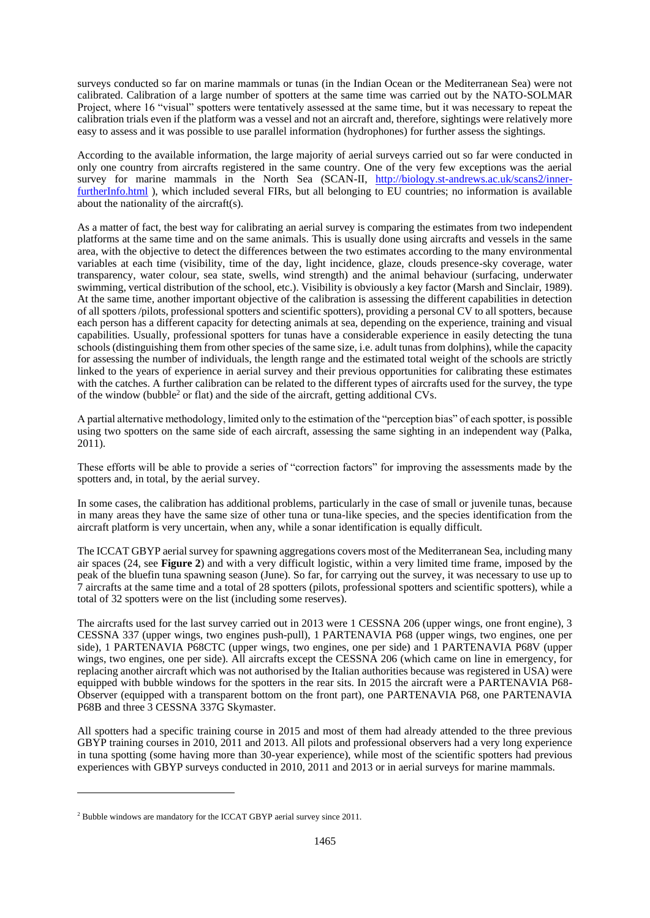surveys conducted so far on marine mammals or tunas (in the Indian Ocean or the Mediterranean Sea) were not calibrated. Calibration of a large number of spotters at the same time was carried out by the NATO-SOLMAR Project, where 16 "visual" spotters were tentatively assessed at the same time, but it was necessary to repeat the calibration trials even if the platform was a vessel and not an aircraft and, therefore, sightings were relatively more easy to assess and it was possible to use parallel information (hydrophones) for further assess the sightings.

According to the available information, the large majority of aerial surveys carried out so far were conducted in only one country from aircrafts registered in the same country. One of the very few exceptions was the aerial survey for marine mammals in the North Sea (SCAN-II, [http://biology.st-andrews.ac.uk/scans2/inner](http://biology.st-andrews.ac.uk/scans2/inner-furtherInfo.html)[furtherInfo.html](http://biology.st-andrews.ac.uk/scans2/inner-furtherInfo.html) ), which included several FIRs, but all belonging to EU countries; no information is available about the nationality of the aircraft(s).

As a matter of fact, the best way for calibrating an aerial survey is comparing the estimates from two independent platforms at the same time and on the same animals. This is usually done using aircrafts and vessels in the same area, with the objective to detect the differences between the two estimates according to the many environmental variables at each time (visibility, time of the day, light incidence, glaze, clouds presence-sky coverage, water transparency, water colour, sea state, swells, wind strength) and the animal behaviour (surfacing, underwater swimming, vertical distribution of the school, etc.). Visibility is obviously a key factor (Marsh and Sinclair, 1989). At the same time, another important objective of the calibration is assessing the different capabilities in detection of all spotters /pilots, professional spotters and scientific spotters), providing a personal CV to all spotters, because each person has a different capacity for detecting animals at sea, depending on the experience, training and visual capabilities. Usually, professional spotters for tunas have a considerable experience in easily detecting the tuna schools (distinguishing them from other species of the same size, i.e. adult tunas from dolphins), while the capacity for assessing the number of individuals, the length range and the estimated total weight of the schools are strictly linked to the years of experience in aerial survey and their previous opportunities for calibrating these estimates with the catches. A further calibration can be related to the different types of aircrafts used for the survey, the type of the window (bubble<sup>2</sup> or flat) and the side of the aircraft, getting additional CVs.

A partial alternative methodology, limited only to the estimation of the "perception bias" of each spotter, is possible using two spotters on the same side of each aircraft, assessing the same sighting in an independent way (Palka, 2011).

These efforts will be able to provide a series of "correction factors" for improving the assessments made by the spotters and, in total, by the aerial survey.

In some cases, the calibration has additional problems, particularly in the case of small or juvenile tunas, because in many areas they have the same size of other tuna or tuna-like species, and the species identification from the aircraft platform is very uncertain, when any, while a sonar identification is equally difficult.

The ICCAT GBYP aerial survey for spawning aggregations covers most of the Mediterranean Sea, including many air spaces (24, see **Figure 2**) and with a very difficult logistic, within a very limited time frame, imposed by the peak of the bluefin tuna spawning season (June). So far, for carrying out the survey, it was necessary to use up to 7 aircrafts at the same time and a total of 28 spotters (pilots, professional spotters and scientific spotters), while a total of 32 spotters were on the list (including some reserves).

The aircrafts used for the last survey carried out in 2013 were 1 CESSNA 206 (upper wings, one front engine), 3 CESSNA 337 (upper wings, two engines push-pull), 1 PARTENAVIA P68 (upper wings, two engines, one per side), 1 PARTENAVIA P68CTC (upper wings, two engines, one per side) and 1 PARTENAVIA P68V (upper wings, two engines, one per side). All aircrafts except the CESSNA 206 (which came on line in emergency, for replacing another aircraft which was not authorised by the Italian authorities because was registered in USA) were equipped with bubble windows for the spotters in the rear sits. In 2015 the aircraft were a PARTENAVIA P68- Observer (equipped with a transparent bottom on the front part), one PARTENAVIA P68, one PARTENAVIA P68B and three 3 CESSNA 337G Skymaster.

All spotters had a specific training course in 2015 and most of them had already attended to the three previous GBYP training courses in 2010, 2011 and 2013. All pilots and professional observers had a very long experience in tuna spotting (some having more than 30-year experience), while most of the scientific spotters had previous experiences with GBYP surveys conducted in 2010, 2011 and 2013 or in aerial surveys for marine mammals.

1

<sup>&</sup>lt;sup>2</sup> Bubble windows are mandatory for the ICCAT GBYP aerial survey since 2011.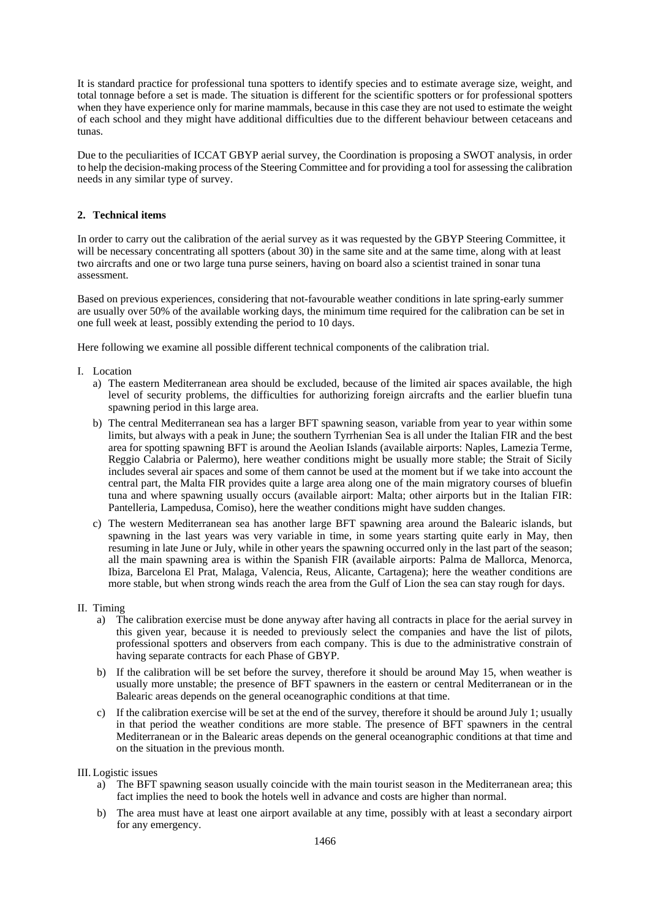It is standard practice for professional tuna spotters to identify species and to estimate average size, weight, and total tonnage before a set is made. The situation is different for the scientific spotters or for professional spotters when they have experience only for marine mammals, because in this case they are not used to estimate the weight of each school and they might have additional difficulties due to the different behaviour between cetaceans and tunas.

Due to the peculiarities of ICCAT GBYP aerial survey, the Coordination is proposing a SWOT analysis, in order to help the decision-making process of the Steering Committee and for providing a tool for assessing the calibration needs in any similar type of survey.

# **2. Technical items**

In order to carry out the calibration of the aerial survey as it was requested by the GBYP Steering Committee, it will be necessary concentrating all spotters (about 30) in the same site and at the same time, along with at least two aircrafts and one or two large tuna purse seiners, having on board also a scientist trained in sonar tuna assessment.

Based on previous experiences, considering that not-favourable weather conditions in late spring-early summer are usually over 50% of the available working days, the minimum time required for the calibration can be set in one full week at least, possibly extending the period to 10 days.

Here following we examine all possible different technical components of the calibration trial.

- I. Location
	- a) The eastern Mediterranean area should be excluded, because of the limited air spaces available, the high level of security problems, the difficulties for authorizing foreign aircrafts and the earlier bluefin tuna spawning period in this large area.
	- b) The central Mediterranean sea has a larger BFT spawning season, variable from year to year within some limits, but always with a peak in June; the southern Tyrrhenian Sea is all under the Italian FIR and the best area for spotting spawning BFT is around the Aeolian Islands (available airports: Naples, Lamezia Terme, Reggio Calabria or Palermo), here weather conditions might be usually more stable; the Strait of Sicily includes several air spaces and some of them cannot be used at the moment but if we take into account the central part, the Malta FIR provides quite a large area along one of the main migratory courses of bluefin tuna and where spawning usually occurs (available airport: Malta; other airports but in the Italian FIR: Pantelleria, Lampedusa, Comiso), here the weather conditions might have sudden changes.
	- c) The western Mediterranean sea has another large BFT spawning area around the Balearic islands, but spawning in the last years was very variable in time, in some years starting quite early in May, then resuming in late June or July, while in other years the spawning occurred only in the last part of the season; all the main spawning area is within the Spanish FIR (available airports: Palma de Mallorca, Menorca, Ibiza, Barcelona El Prat, Malaga, Valencia, Reus, Alicante, Cartagena); here the weather conditions are more stable, but when strong winds reach the area from the Gulf of Lion the sea can stay rough for days.
- II. Timing
	- a) The calibration exercise must be done anyway after having all contracts in place for the aerial survey in this given year, because it is needed to previously select the companies and have the list of pilots, professional spotters and observers from each company. This is due to the administrative constrain of having separate contracts for each Phase of GBYP.
	- b) If the calibration will be set before the survey, therefore it should be around May 15, when weather is usually more unstable; the presence of BFT spawners in the eastern or central Mediterranean or in the Balearic areas depends on the general oceanographic conditions at that time.
	- c) If the calibration exercise will be set at the end of the survey, therefore it should be around July 1; usually in that period the weather conditions are more stable. The presence of BFT spawners in the central Mediterranean or in the Balearic areas depends on the general oceanographic conditions at that time and on the situation in the previous month.

III. Logistic issues

- a) The BFT spawning season usually coincide with the main tourist season in the Mediterranean area; this fact implies the need to book the hotels well in advance and costs are higher than normal.
- b) The area must have at least one airport available at any time, possibly with at least a secondary airport for any emergency.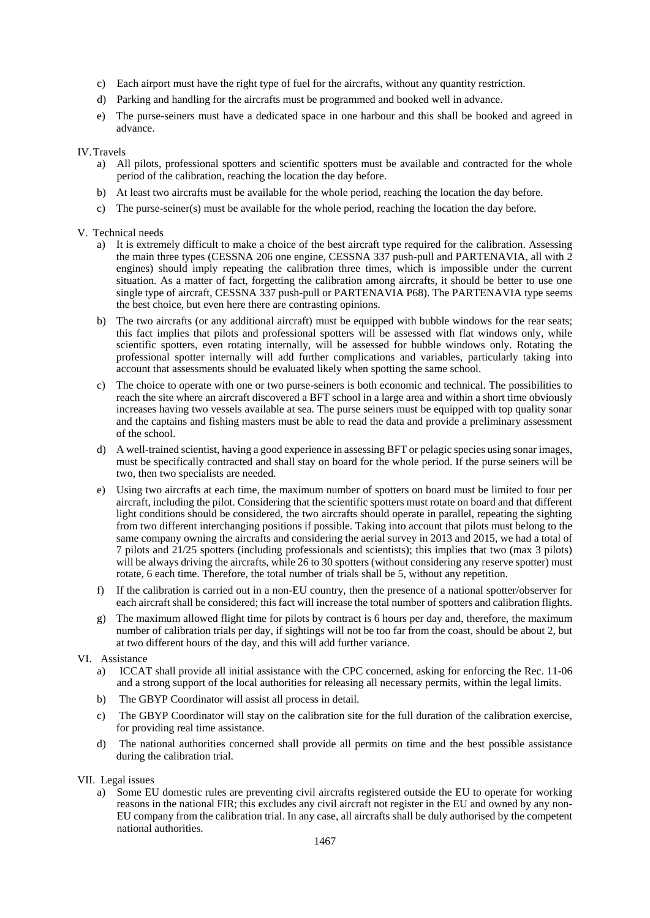- c) Each airport must have the right type of fuel for the aircrafts, without any quantity restriction.
- d) Parking and handling for the aircrafts must be programmed and booked well in advance.
- e) The purse-seiners must have a dedicated space in one harbour and this shall be booked and agreed in advance.

### IV.Travels

- a) All pilots, professional spotters and scientific spotters must be available and contracted for the whole period of the calibration, reaching the location the day before.
- b) At least two aircrafts must be available for the whole period, reaching the location the day before.
- c) The purse-seiner(s) must be available for the whole period, reaching the location the day before.

## V. Technical needs

- a) It is extremely difficult to make a choice of the best aircraft type required for the calibration. Assessing the main three types (CESSNA 206 one engine, CESSNA 337 push-pull and PARTENAVIA, all with 2 engines) should imply repeating the calibration three times, which is impossible under the current situation. As a matter of fact, forgetting the calibration among aircrafts, it should be better to use one single type of aircraft, CESSNA 337 push-pull or PARTENAVIA P68). The PARTENAVIA type seems the best choice, but even here there are contrasting opinions.
- b) The two aircrafts (or any additional aircraft) must be equipped with bubble windows for the rear seats; this fact implies that pilots and professional spotters will be assessed with flat windows only, while scientific spotters, even rotating internally, will be assessed for bubble windows only. Rotating the professional spotter internally will add further complications and variables, particularly taking into account that assessments should be evaluated likely when spotting the same school.
- c) The choice to operate with one or two purse-seiners is both economic and technical. The possibilities to reach the site where an aircraft discovered a BFT school in a large area and within a short time obviously increases having two vessels available at sea. The purse seiners must be equipped with top quality sonar and the captains and fishing masters must be able to read the data and provide a preliminary assessment of the school.
- d) A well-trained scientist, having a good experience in assessing BFT or pelagic species using sonar images, must be specifically contracted and shall stay on board for the whole period. If the purse seiners will be two, then two specialists are needed.
- e) Using two aircrafts at each time, the maximum number of spotters on board must be limited to four per aircraft, including the pilot. Considering that the scientific spotters must rotate on board and that different light conditions should be considered, the two aircrafts should operate in parallel, repeating the sighting from two different interchanging positions if possible. Taking into account that pilots must belong to the same company owning the aircrafts and considering the aerial survey in 2013 and 2015, we had a total of 7 pilots and 21/25 spotters (including professionals and scientists); this implies that two (max 3 pilots) will be always driving the aircrafts, while 26 to 30 spotters (without considering any reserve spotter) must rotate, 6 each time. Therefore, the total number of trials shall be 5, without any repetition.
- f) If the calibration is carried out in a non-EU country, then the presence of a national spotter/observer for each aircraft shall be considered; this fact will increase the total number of spotters and calibration flights.
- g) The maximum allowed flight time for pilots by contract is 6 hours per day and, therefore, the maximum number of calibration trials per day, if sightings will not be too far from the coast, should be about 2, but at two different hours of the day, and this will add further variance.

## VI. Assistance

- a) ICCAT shall provide all initial assistance with the CPC concerned, asking for enforcing the Rec. 11-06 and a strong support of the local authorities for releasing all necessary permits, within the legal limits.
- b) The GBYP Coordinator will assist all process in detail.
- c) The GBYP Coordinator will stay on the calibration site for the full duration of the calibration exercise, for providing real time assistance.
- d) The national authorities concerned shall provide all permits on time and the best possible assistance during the calibration trial.
- VII. Legal issues
	- a) Some EU domestic rules are preventing civil aircrafts registered outside the EU to operate for working reasons in the national FIR; this excludes any civil aircraft not register in the EU and owned by any non-EU company from the calibration trial. In any case, all aircrafts shall be duly authorised by the competent national authorities.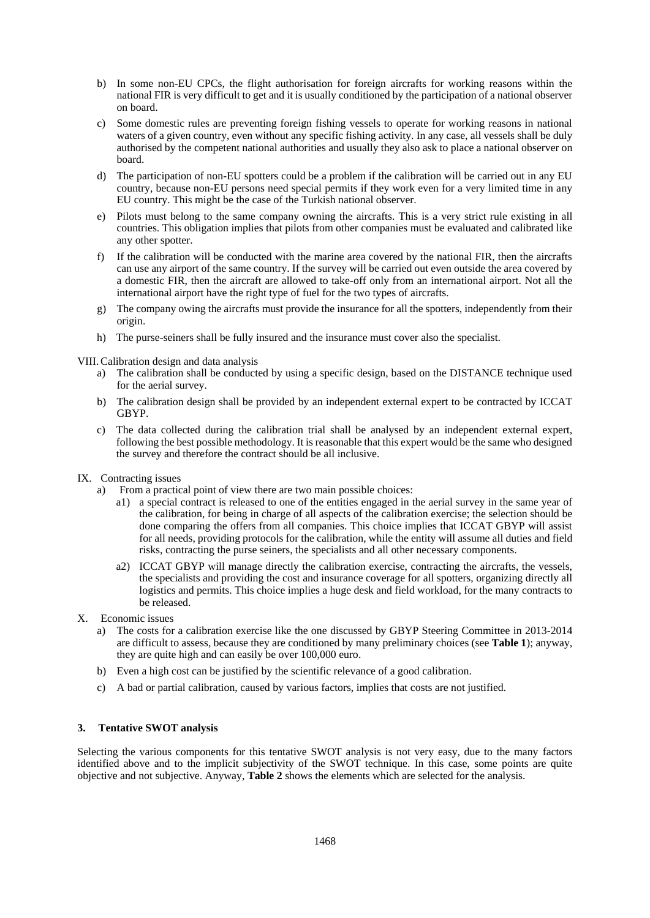- b) In some non-EU CPCs, the flight authorisation for foreign aircrafts for working reasons within the national FIR is very difficult to get and it is usually conditioned by the participation of a national observer on board.
- c) Some domestic rules are preventing foreign fishing vessels to operate for working reasons in national waters of a given country, even without any specific fishing activity. In any case, all vessels shall be duly authorised by the competent national authorities and usually they also ask to place a national observer on board.
- d) The participation of non-EU spotters could be a problem if the calibration will be carried out in any EU country, because non-EU persons need special permits if they work even for a very limited time in any EU country. This might be the case of the Turkish national observer.
- e) Pilots must belong to the same company owning the aircrafts. This is a very strict rule existing in all countries. This obligation implies that pilots from other companies must be evaluated and calibrated like any other spotter.
- f) If the calibration will be conducted with the marine area covered by the national FIR, then the aircrafts can use any airport of the same country. If the survey will be carried out even outside the area covered by a domestic FIR, then the aircraft are allowed to take-off only from an international airport. Not all the international airport have the right type of fuel for the two types of aircrafts.
- g) The company owing the aircrafts must provide the insurance for all the spotters, independently from their origin.
- h) The purse-seiners shall be fully insured and the insurance must cover also the specialist.

VIII.Calibration design and data analysis

- a) The calibration shall be conducted by using a specific design, based on the DISTANCE technique used for the aerial survey.
- b) The calibration design shall be provided by an independent external expert to be contracted by ICCAT GBYP.
- c) The data collected during the calibration trial shall be analysed by an independent external expert, following the best possible methodology. It is reasonable that this expert would be the same who designed the survey and therefore the contract should be all inclusive.
- IX. Contracting issues
	- a) From a practical point of view there are two main possible choices:
		- a1) a special contract is released to one of the entities engaged in the aerial survey in the same year of the calibration, for being in charge of all aspects of the calibration exercise; the selection should be done comparing the offers from all companies. This choice implies that ICCAT GBYP will assist for all needs, providing protocols for the calibration, while the entity will assume all duties and field risks, contracting the purse seiners, the specialists and all other necessary components.
		- a2) ICCAT GBYP will manage directly the calibration exercise, contracting the aircrafts, the vessels, the specialists and providing the cost and insurance coverage for all spotters, organizing directly all logistics and permits. This choice implies a huge desk and field workload, for the many contracts to be released.
- X. Economic issues
	- a) The costs for a calibration exercise like the one discussed by GBYP Steering Committee in 2013-2014 are difficult to assess, because they are conditioned by many preliminary choices (see **Table 1**); anyway, they are quite high and can easily be over 100,000 euro.
	- b) Even a high cost can be justified by the scientific relevance of a good calibration.
	- c) A bad or partial calibration, caused by various factors, implies that costs are not justified.

# **3. Tentative SWOT analysis**

Selecting the various components for this tentative SWOT analysis is not very easy, due to the many factors identified above and to the implicit subjectivity of the SWOT technique. In this case, some points are quite objective and not subjective. Anyway, **Table 2** shows the elements which are selected for the analysis.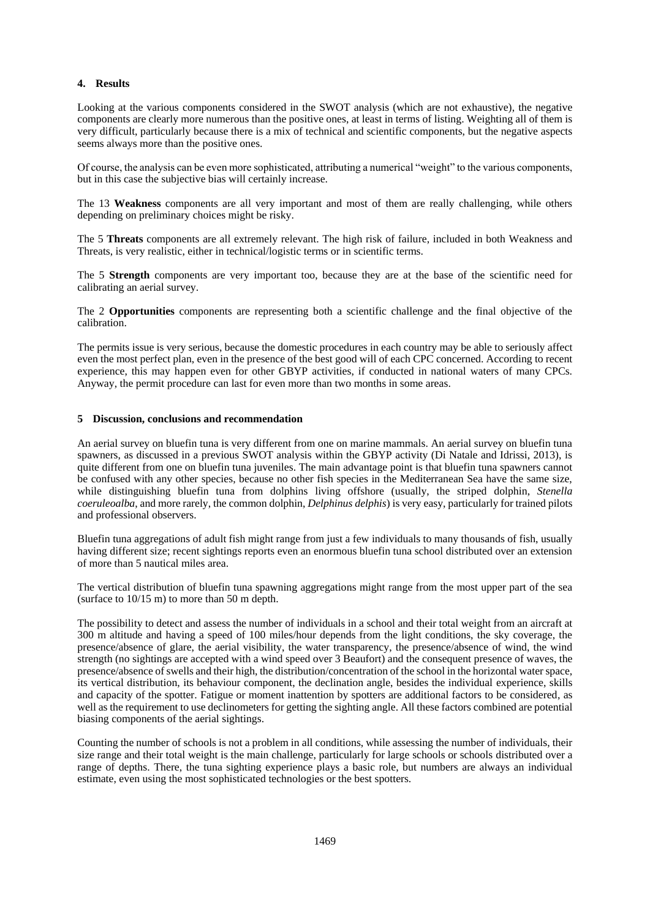# **4. Results**

Looking at the various components considered in the SWOT analysis (which are not exhaustive), the negative components are clearly more numerous than the positive ones, at least in terms of listing. Weighting all of them is very difficult, particularly because there is a mix of technical and scientific components, but the negative aspects seems always more than the positive ones.

Of course, the analysis can be even more sophisticated, attributing a numerical "weight" to the various components, but in this case the subjective bias will certainly increase.

The 13 **Weakness** components are all very important and most of them are really challenging, while others depending on preliminary choices might be risky.

The 5 **Threats** components are all extremely relevant. The high risk of failure, included in both Weakness and Threats, is very realistic, either in technical/logistic terms or in scientific terms.

The 5 **Strength** components are very important too, because they are at the base of the scientific need for calibrating an aerial survey.

The 2 **Opportunities** components are representing both a scientific challenge and the final objective of the calibration.

The permits issue is very serious, because the domestic procedures in each country may be able to seriously affect even the most perfect plan, even in the presence of the best good will of each CPC concerned. According to recent experience, this may happen even for other GBYP activities, if conducted in national waters of many CPCs. Anyway, the permit procedure can last for even more than two months in some areas.

### **5 Discussion, conclusions and recommendation**

An aerial survey on bluefin tuna is very different from one on marine mammals. An aerial survey on bluefin tuna spawners, as discussed in a previous SWOT analysis within the GBYP activity (Di Natale and Idrissi, 2013), is quite different from one on bluefin tuna juveniles. The main advantage point is that bluefin tuna spawners cannot be confused with any other species, because no other fish species in the Mediterranean Sea have the same size, while distinguishing bluefin tuna from dolphins living offshore (usually, the striped dolphin, *Stenella coeruleoalba*, and more rarely, the common dolphin, *Delphinus delphis*) is very easy, particularly for trained pilots and professional observers.

Bluefin tuna aggregations of adult fish might range from just a few individuals to many thousands of fish, usually having different size; recent sightings reports even an enormous bluefin tuna school distributed over an extension of more than 5 nautical miles area.

The vertical distribution of bluefin tuna spawning aggregations might range from the most upper part of the sea (surface to 10/15 m) to more than 50 m depth.

The possibility to detect and assess the number of individuals in a school and their total weight from an aircraft at 300 m altitude and having a speed of 100 miles/hour depends from the light conditions, the sky coverage, the presence/absence of glare, the aerial visibility, the water transparency, the presence/absence of wind, the wind strength (no sightings are accepted with a wind speed over 3 Beaufort) and the consequent presence of waves, the presence/absence of swells and their high, the distribution/concentration of the school in the horizontal water space, its vertical distribution, its behaviour component, the declination angle, besides the individual experience, skills and capacity of the spotter. Fatigue or moment inattention by spotters are additional factors to be considered, as well as the requirement to use declinometers for getting the sighting angle. All these factors combined are potential biasing components of the aerial sightings.

Counting the number of schools is not a problem in all conditions, while assessing the number of individuals, their size range and their total weight is the main challenge, particularly for large schools or schools distributed over a range of depths. There, the tuna sighting experience plays a basic role, but numbers are always an individual estimate, even using the most sophisticated technologies or the best spotters.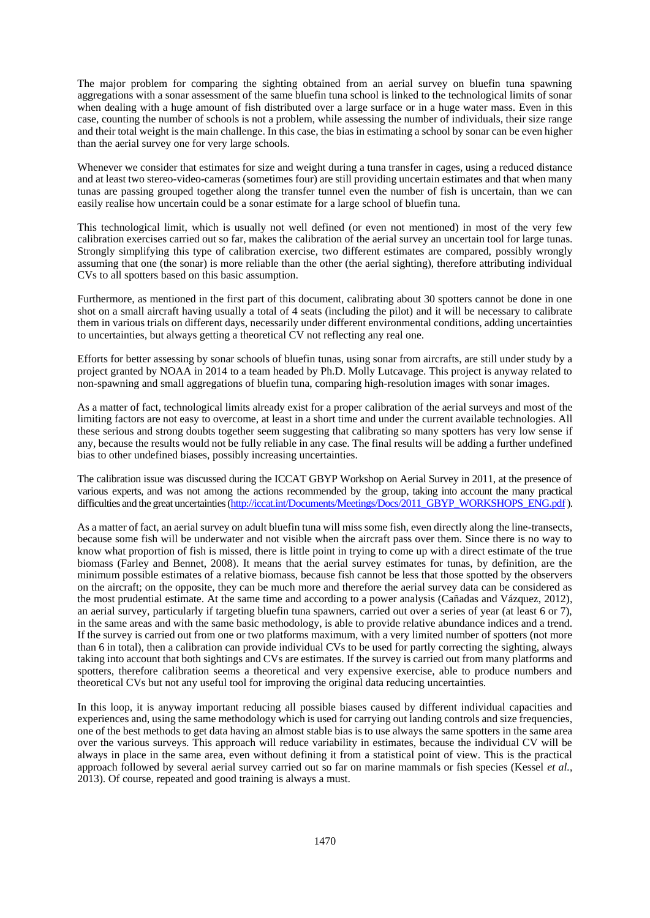The major problem for comparing the sighting obtained from an aerial survey on bluefin tuna spawning aggregations with a sonar assessment of the same bluefin tuna school is linked to the technological limits of sonar when dealing with a huge amount of fish distributed over a large surface or in a huge water mass. Even in this case, counting the number of schools is not a problem, while assessing the number of individuals, their size range and their total weight is the main challenge. In this case, the bias in estimating a school by sonar can be even higher than the aerial survey one for very large schools.

Whenever we consider that estimates for size and weight during a tuna transfer in cages, using a reduced distance and at least two stereo-video-cameras (sometimes four) are still providing uncertain estimates and that when many tunas are passing grouped together along the transfer tunnel even the number of fish is uncertain, than we can easily realise how uncertain could be a sonar estimate for a large school of bluefin tuna.

This technological limit, which is usually not well defined (or even not mentioned) in most of the very few calibration exercises carried out so far, makes the calibration of the aerial survey an uncertain tool for large tunas. Strongly simplifying this type of calibration exercise, two different estimates are compared, possibly wrongly assuming that one (the sonar) is more reliable than the other (the aerial sighting), therefore attributing individual CVs to all spotters based on this basic assumption.

Furthermore, as mentioned in the first part of this document, calibrating about 30 spotters cannot be done in one shot on a small aircraft having usually a total of 4 seats (including the pilot) and it will be necessary to calibrate them in various trials on different days, necessarily under different environmental conditions, adding uncertainties to uncertainties, but always getting a theoretical CV not reflecting any real one.

Efforts for better assessing by sonar schools of bluefin tunas, using sonar from aircrafts, are still under study by a project granted by NOAA in 2014 to a team headed by Ph.D. Molly Lutcavage. This project is anyway related to non-spawning and small aggregations of bluefin tuna, comparing high-resolution images with sonar images.

As a matter of fact, technological limits already exist for a proper calibration of the aerial surveys and most of the limiting factors are not easy to overcome, at least in a short time and under the current available technologies. All these serious and strong doubts together seem suggesting that calibrating so many spotters has very low sense if any, because the results would not be fully reliable in any case. The final results will be adding a further undefined bias to other undefined biases, possibly increasing uncertainties.

The calibration issue was discussed during the ICCAT GBYP Workshop on Aerial Survey in 2011, at the presence of various experts, and was not among the actions recommended by the group, taking into account the many practical difficulties and the great uncertainties [\(http://iccat.int/Documents/Meetings/Docs/2011\\_GBYP\\_WORKSHOPS\\_ENG.pdf\)](http://iccat.int/Documents/Meetings/Docs/2011_GBYP_WORKSHOPS_ENG.pdf).

As a matter of fact, an aerial survey on adult bluefin tuna will miss some fish, even directly along the line-transects, because some fish will be underwater and not visible when the aircraft pass over them. Since there is no way to know what proportion of fish is missed, there is little point in trying to come up with a direct estimate of the true biomass (Farley and Bennet, 2008). It means that the aerial survey estimates for tunas, by definition, are the minimum possible estimates of a relative biomass, because fish cannot be less that those spotted by the observers on the aircraft; on the opposite, they can be much more and therefore the aerial survey data can be considered as the most prudential estimate. At the same time and according to a power analysis (Cañadas and Vázquez, 2012), an aerial survey, particularly if targeting bluefin tuna spawners, carried out over a series of year (at least 6 or 7), in the same areas and with the same basic methodology, is able to provide relative abundance indices and a trend. If the survey is carried out from one or two platforms maximum, with a very limited number of spotters (not more than 6 in total), then a calibration can provide individual CVs to be used for partly correcting the sighting, always taking into account that both sightings and CVs are estimates. If the survey is carried out from many platforms and spotters, therefore calibration seems a theoretical and very expensive exercise, able to produce numbers and theoretical CVs but not any useful tool for improving the original data reducing uncertainties.

In this loop, it is anyway important reducing all possible biases caused by different individual capacities and experiences and, using the same methodology which is used for carrying out landing controls and size frequencies, one of the best methods to get data having an almost stable bias is to use always the same spotters in the same area over the various surveys. This approach will reduce variability in estimates, because the individual CV will be always in place in the same area, even without defining it from a statistical point of view. This is the practical approach followed by several aerial survey carried out so far on marine mammals or fish species (Kessel *et al.*, 2013). Of course, repeated and good training is always a must.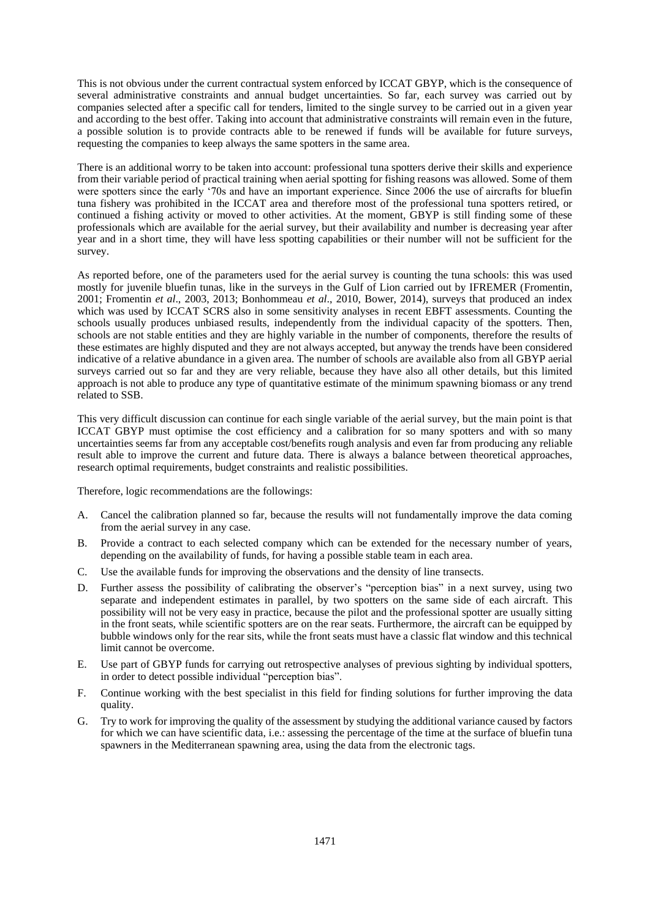This is not obvious under the current contractual system enforced by ICCAT GBYP, which is the consequence of several administrative constraints and annual budget uncertainties. So far, each survey was carried out by companies selected after a specific call for tenders, limited to the single survey to be carried out in a given year and according to the best offer. Taking into account that administrative constraints will remain even in the future, a possible solution is to provide contracts able to be renewed if funds will be available for future surveys, requesting the companies to keep always the same spotters in the same area.

There is an additional worry to be taken into account: professional tuna spotters derive their skills and experience from their variable period of practical training when aerial spotting for fishing reasons was allowed. Some of them were spotters since the early '70s and have an important experience. Since 2006 the use of aircrafts for bluefin tuna fishery was prohibited in the ICCAT area and therefore most of the professional tuna spotters retired, or continued a fishing activity or moved to other activities. At the moment, GBYP is still finding some of these professionals which are available for the aerial survey, but their availability and number is decreasing year after year and in a short time, they will have less spotting capabilities or their number will not be sufficient for the survey.

As reported before, one of the parameters used for the aerial survey is counting the tuna schools: this was used mostly for juvenile bluefin tunas, like in the surveys in the Gulf of Lion carried out by IFREMER (Fromentin, 2001; Fromentin *et al*., 2003, 2013; Bonhommeau *et al*., 2010, Bower, 2014), surveys that produced an index which was used by ICCAT SCRS also in some sensitivity analyses in recent EBFT assessments. Counting the schools usually produces unbiased results, independently from the individual capacity of the spotters. Then, schools are not stable entities and they are highly variable in the number of components, therefore the results of these estimates are highly disputed and they are not always accepted, but anyway the trends have been considered indicative of a relative abundance in a given area. The number of schools are available also from all GBYP aerial surveys carried out so far and they are very reliable, because they have also all other details, but this limited approach is not able to produce any type of quantitative estimate of the minimum spawning biomass or any trend related to SSB.

This very difficult discussion can continue for each single variable of the aerial survey, but the main point is that ICCAT GBYP must optimise the cost efficiency and a calibration for so many spotters and with so many uncertainties seems far from any acceptable cost/benefits rough analysis and even far from producing any reliable result able to improve the current and future data. There is always a balance between theoretical approaches, research optimal requirements, budget constraints and realistic possibilities.

Therefore, logic recommendations are the followings:

- A. Cancel the calibration planned so far, because the results will not fundamentally improve the data coming from the aerial survey in any case.
- B. Provide a contract to each selected company which can be extended for the necessary number of years, depending on the availability of funds, for having a possible stable team in each area.
- C. Use the available funds for improving the observations and the density of line transects.
- D. Further assess the possibility of calibrating the observer's "perception bias" in a next survey, using two separate and independent estimates in parallel, by two spotters on the same side of each aircraft. This possibility will not be very easy in practice, because the pilot and the professional spotter are usually sitting in the front seats, while scientific spotters are on the rear seats. Furthermore, the aircraft can be equipped by bubble windows only for the rear sits, while the front seats must have a classic flat window and this technical limit cannot be overcome.
- E. Use part of GBYP funds for carrying out retrospective analyses of previous sighting by individual spotters, in order to detect possible individual "perception bias".
- F. Continue working with the best specialist in this field for finding solutions for further improving the data quality.
- G. Try to work for improving the quality of the assessment by studying the additional variance caused by factors for which we can have scientific data, i.e.: assessing the percentage of the time at the surface of bluefin tuna spawners in the Mediterranean spawning area, using the data from the electronic tags.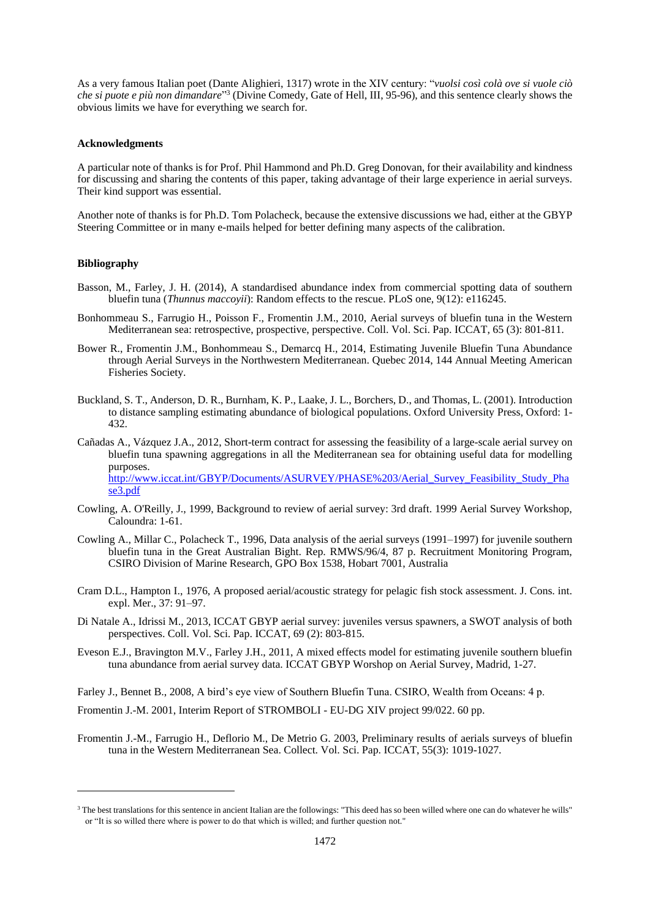As a very famous Italian poet (Dante Alighieri, 1317) wrote in the XIV century: "*vuolsi così colà ove si vuole ciò che si puote e più non dimandare*" 3 (Divine Comedy, Gate of Hell, III, 95-96), and this sentence clearly shows the obvious limits we have for everything we search for.

#### **Acknowledgments**

A particular note of thanks is for Prof. Phil Hammond and Ph.D. Greg Donovan, for their availability and kindness for discussing and sharing the contents of this paper, taking advantage of their large experience in aerial surveys. Their kind support was essential.

Another note of thanks is for Ph.D. Tom Polacheck, because the extensive discussions we had, either at the GBYP Steering Committee or in many e-mails helped for better defining many aspects of the calibration.

### **Bibliography**

.

- Basson, M., Farley, J. H. (2014), A standardised abundance index from commercial spotting data of southern bluefin tuna (*Thunnus maccoyii*): Random effects to the rescue. PLoS one, 9(12): e116245.
- Bonhommeau S., Farrugio H., Poisson F., Fromentin J.M., 2010, [Aerial surveys of bluefin tuna in the Western](http://archimer.ifremer.fr/doc/00192/30292/28775.pdf)  [Mediterranean sea: retrospective, prospective, perspective.](http://archimer.ifremer.fr/doc/00192/30292/28775.pdf) Coll. Vol. Sci. Pap. ICCAT, 65 (3): 801-811.
- Bower R., Fromentin J.M., Bonhommeau S., Demarcq H., 2014, Estimating Juvenile Bluefin Tuna Abundance through Aerial Surveys in the Northwestern Mediterranean. Quebec 2014, 144 Annual Meeting American Fisheries Society.
- Buckland, S. T., Anderson, D. R., Burnham, K. P., Laake, J. L., Borchers, D., and Thomas, L. (2001). Introduction to distance sampling estimating abundance of biological populations. Oxford University Press, Oxford: 1- 432.
- Cañadas A., Vázquez J.A., 2012, Short-term contract for assessing the feasibility of a large-scale aerial survey on bluefin tuna spawning aggregations in all the Mediterranean sea for obtaining useful data for modelling purposes. [http://www.iccat.int/GBYP/Documents/ASURVEY/PHASE%203/Aerial\\_Survey\\_Feasibility\\_Study\\_Pha](http://www.iccat.int/GBYP/Documents/ASURVEY/PHASE%203/Aerial_Survey_Feasibility_Study_Phase3.pdf) [se3.pdf](http://www.iccat.int/GBYP/Documents/ASURVEY/PHASE%203/Aerial_Survey_Feasibility_Study_Phase3.pdf)
- Cowling, A. O'Reilly, J., 1999, Background to review of aerial survey: 3rd draft. 1999 Aerial Survey Workshop, Caloundra: 1-61.
- Cowling A., Millar C., Polacheck T., 1996, Data analysis of the aerial surveys (1991–1997) for juvenile southern bluefin tuna in the Great Australian Bight. Rep. RMWS/96/4, 87 p. Recruitment Monitoring Program, CSIRO Division of Marine Research, GPO Box 1538, Hobart 7001, Australia
- Cram D.L., Hampton I., 1976, A proposed aerial/acoustic strategy for pelagic fish stock assessment. J. Cons. int. expl. Mer., 37: 91–97.
- Di Natale A., Idrissi M., 2013, ICCAT GBYP aerial survey: juveniles versus spawners, a SWOT analysis of both perspectives. Coll. Vol. Sci. Pap. ICCAT, 69 (2): 803-815.
- Eveson E.J., Bravington M.V., Farley J.H., 2011, A mixed effects model for estimating juvenile southern bluefin tuna abundance from aerial survey data. ICCAT GBYP Worshop on Aerial Survey, Madrid, 1-27.

Farley J., Bennet B., 2008, A bird's eye view of Southern Bluefin Tuna. CSIRO, Wealth from Oceans: 4 p.

Fromentin J.-M. 2001, Interim Report of STROMBOLI - EU-DG XIV project 99/022. 60 pp.

Fromentin J.-M., Farrugio H., Deflorio M., De Metrio G. 2003, Preliminary results of aerials surveys of bluefin tuna in the Western Mediterranean Sea. Collect. Vol. Sci. Pap. ICCAT, 55(3): 1019-1027.

<sup>&</sup>lt;sup>3</sup> The best translations for this sentence in ancient Italian are the followings: "This deed has so been willed where one can do whatever he wills" or "It is so willed there where is power to do that which is willed; and further question not."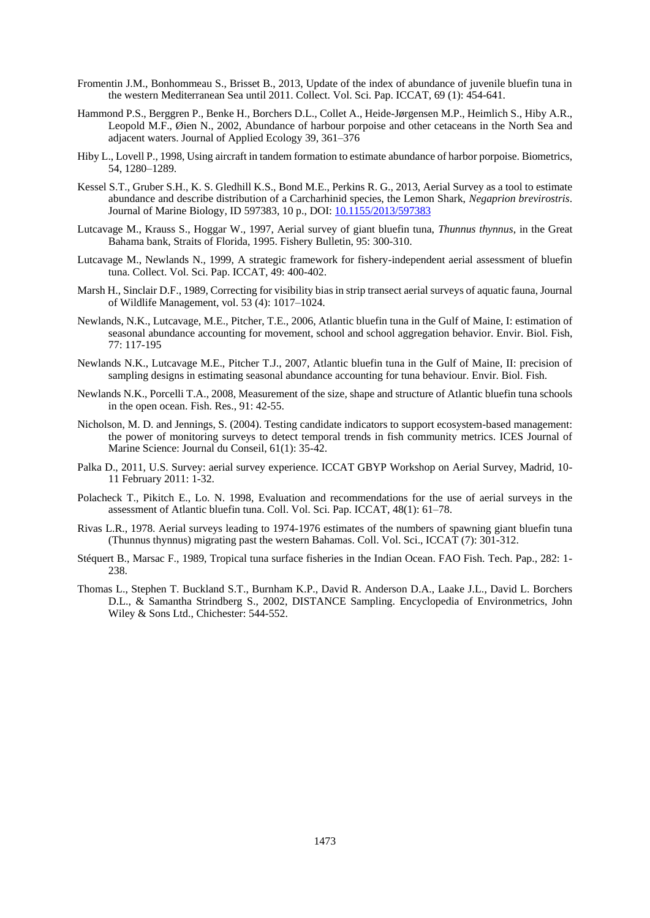- Fromentin J.M., Bonhommeau S., Brisset B., 2013, Update of the index of abundance of juvenile bluefin tuna in the western Mediterranean Sea until 2011. Collect. Vol. Sci. Pap. ICCAT, 69 (1): 454-641.
- Hammond P.S., Berggren P., Benke H., Borchers D.L., Collet A., Heide-Jørgensen M.P., Heimlich S., Hiby A.R., Leopold M.F., Øien N., 2002, Abundance of harbour porpoise and other cetaceans in the North Sea and adjacent waters. Journal of Applied Ecology 39, 361–376
- Hiby L., Lovell P., 1998, Using aircraft in tandem formation to estimate abundance of harbor porpoise. Biometrics, 54, 1280–1289.
- Kessel S.T., [Gruber](http://www.hindawi.com/61632450/) S.H., [K. S. Gledhill](http://www.hindawi.com/46346135/) K.S., [Bond](http://www.hindawi.com/70582038/) M.E., [Perkins](http://www.hindawi.com/18042045/) R. G., 2013, Aerial Survey as a tool to estimate abundance and describe distribution of a Carcharhinid species, the Lemon Shark, *Negaprion brevirostris*. Journal of Marine Biology, ID 597383, 10 p., DOI[: 10.1155/2013/597383](http://dx.doi.org/10.1155/2013/597383)
- Lutcavage M., Krauss S., Hoggar W., 1997, Aerial survey of giant bluefin tuna, *Thunnus thynnus*, in the Great Bahama bank, Straits of Florida, 1995. Fishery Bulletin, 95: 300-310.
- Lutcavage M., Newlands N., 1999, A strategic framework for fishery-independent aerial assessment of bluefin tuna. Collect. Vol. Sci. Pap. ICCAT, 49: 400-402.
- Marsh H., Sinclair D.F., 1989, Correcting for visibility bias in strip transect aerial surveys of aquatic fauna, Journal of Wildlife Management, vol. 53 (4): 1017–1024.
- Newlands, N.K., Lutcavage, M.E., Pitcher, T.E., 2006, Atlantic bluefin tuna in the Gulf of Maine, I: estimation of seasonal abundance accounting for movement, school and school aggregation behavior. Envir. Biol. Fish, 77: 117-195
- Newlands N.K., Lutcavage M.E., Pitcher T.J., 2007, Atlantic bluefin tuna in the Gulf of Maine, II: precision of sampling designs in estimating seasonal abundance accounting for tuna behaviour. Envir. Biol. Fish.
- Newlands N.K., Porcelli T.A., 2008, Measurement of the size, shape and structure of Atlantic bluefin tuna schools in the open ocean. Fish. Res., 91: 42-55.
- Nicholson, M. D. and Jennings, S. (2004). Testing candidate indicators to support ecosystem-based management: the power of monitoring surveys to detect temporal trends in fish community metrics. ICES Journal of Marine Science: Journal du Conseil, 61(1): 35-42.
- Palka D., 2011, U.S. Survey: aerial survey experience. ICCAT GBYP Workshop on Aerial Survey, Madrid, 10- 11 February 2011: 1-32.
- Polacheck T., Pikitch E., Lo. N. 1998, Evaluation and recommendations for the use of aerial surveys in the assessment of Atlantic bluefin tuna. Coll. Vol. Sci. Pap. ICCAT, 48(1): 61–78.
- Rivas L.R., 1978. Aerial surveys leading to 1974-1976 estimates of the numbers of spawning giant bluefin tuna (Thunnus thynnus) migrating past the western Bahamas. Coll. Vol. Sci., ICCAT (7): 301-312.
- Stéquert B., Marsac F., 1989, Tropical tuna surface fisheries in the Indian Ocean. FAO Fish. Tech. Pap., 282: 1- 238.
- Thomas L., Stephen T. Buckland S.T., Burnham K.P., David R. Anderson D.A., Laake J.L., David L. Borchers D.L., & Samantha Strindberg S., 2002, DISTANCE Sampling. Encyclopedia of Environmetrics, John Wiley & Sons Ltd., Chichester: 544-552.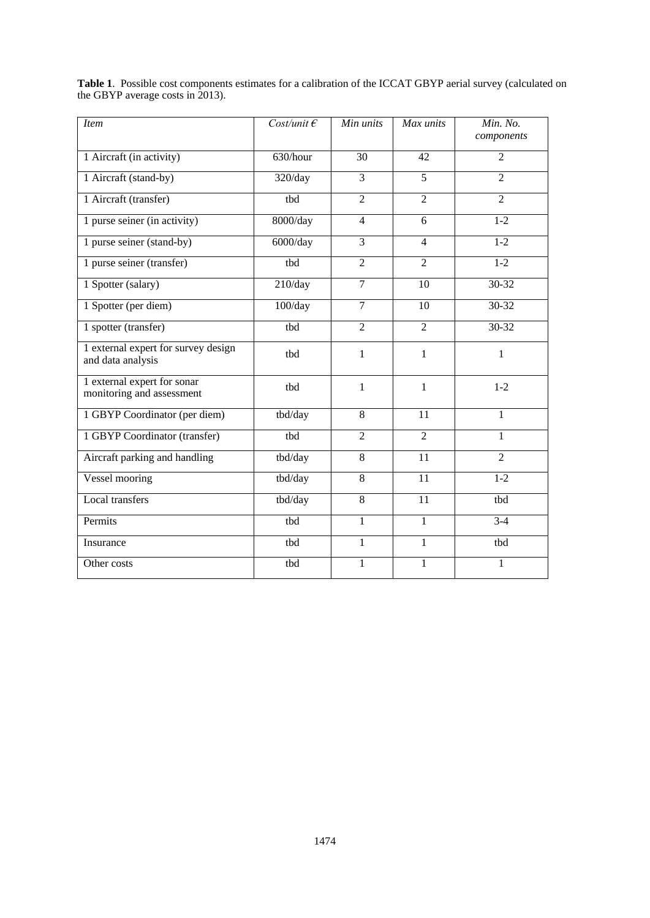| <i>Item</i>                                              | Cost/unit $\epsilon$ | Min units      | Max units      | Min. No.<br>components |  |
|----------------------------------------------------------|----------------------|----------------|----------------|------------------------|--|
| 1 Aircraft (in activity)                                 | 630/hour             | 30             | 42             | $\overline{2}$         |  |
| 1 Aircraft (stand-by)                                    | 320/day              | $\overline{3}$ | 5              | $\overline{2}$         |  |
| 1 Aircraft (transfer)                                    | tbd                  | $\overline{2}$ | $\overline{2}$ | $\overline{2}$         |  |
| 1 purse seiner (in activity)                             | 8000/day             | $\overline{4}$ | 6              | $1 - 2$                |  |
| 1 purse seiner (stand-by)                                | $6000$ /day          | $\overline{3}$ | $\overline{4}$ | $1-2$                  |  |
| 1 purse seiner (transfer)                                | tbd                  | $\overline{2}$ | $\overline{2}$ | $1-2$                  |  |
| 1 Spotter (salary)                                       | 210/day              | $\overline{7}$ | 10             | $30 - 32$              |  |
| 1 Spotter (per diem)                                     | 100/day              | $\overline{7}$ | 10             | $30 - 32$              |  |
| 1 spotter (transfer)                                     | tbd                  | $\overline{2}$ | $\overline{2}$ | 30-32                  |  |
| 1 external expert for survey design<br>and data analysis | thd                  | 1              | 1              | 1                      |  |
| 1 external expert for sonar<br>monitoring and assessment | tbd                  | $\mathbf{1}$   | $\mathbf{1}$   | $1 - 2$                |  |
| 1 GBYP Coordinator (per diem)                            | tbd/day              | $\overline{8}$ | 11             | $\mathbf{1}$           |  |
| 1 GBYP Coordinator (transfer)                            | tbd                  | $\overline{2}$ | $\overline{2}$ | $\mathbf{1}$           |  |
| Aircraft parking and handling                            | tbd/day              | 8              | 11             | $\overline{2}$         |  |
| Vessel mooring                                           | tbd/day              | $\overline{8}$ | 11             | $1-2$                  |  |
| Local transfers                                          | tbd/day              | 8              | 11             | tbd                    |  |
| Permits                                                  | tbd                  | $\mathbf{1}$   | $\mathbf{1}$   | $3-4$                  |  |
| Insurance                                                | tbd                  | $\mathbf{1}$   | $\mathbf{1}$   | tbd                    |  |
| Other costs                                              | tbd                  | $\mathbf{1}$   | 1              | 1                      |  |

**Table 1**. Possible cost components estimates for a calibration of the ICCAT GBYP aerial survey (calculated on the GBYP average costs in 2013).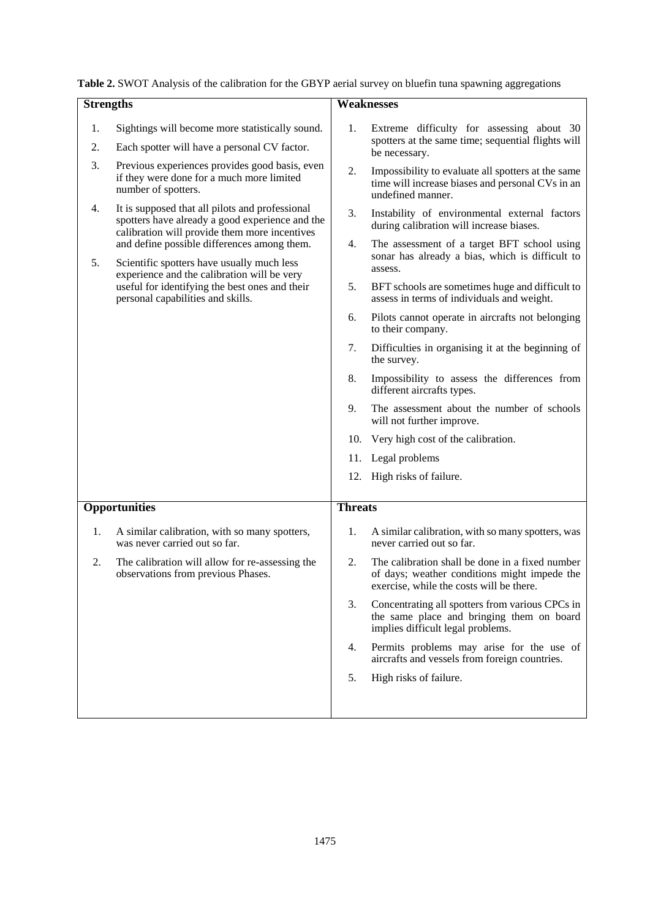| Table 2. SWOT Analysis of the calibration for the GBYP aerial survey on bluefin tuna spawning aggregations |  |  |  |  |
|------------------------------------------------------------------------------------------------------------|--|--|--|--|
|                                                                                                            |  |  |  |  |

| <b>Strengths</b> |                                                                                                                                                                                                                                                        |                | <b>Weaknesses</b>                                                                                                                           |
|------------------|--------------------------------------------------------------------------------------------------------------------------------------------------------------------------------------------------------------------------------------------------------|----------------|---------------------------------------------------------------------------------------------------------------------------------------------|
|                  |                                                                                                                                                                                                                                                        |                |                                                                                                                                             |
| 1.<br>2.         | Sightings will become more statistically sound.<br>Each spotter will have a personal CV factor.                                                                                                                                                        | 1.             | Extreme difficulty for assessing about 30<br>spotters at the same time; sequential flights will<br>be necessary.                            |
| 3.               | Previous experiences provides good basis, even<br>if they were done for a much more limited<br>number of spotters.                                                                                                                                     | 2.             | Impossibility to evaluate all spotters at the same<br>time will increase biases and personal CVs in an<br>undefined manner.                 |
| 4.               | It is supposed that all pilots and professional<br>spotters have already a good experience and the<br>calibration will provide them more incentives<br>and define possible differences among them.<br>5.<br>Scientific spotters have usually much less |                | Instability of environmental external factors<br>during calibration will increase biases.                                                   |
|                  |                                                                                                                                                                                                                                                        |                | The assessment of a target BFT school using<br>sonar has already a bias, which is difficult to<br>assess.                                   |
|                  | experience and the calibration will be very<br>useful for identifying the best ones and their<br>personal capabilities and skills.                                                                                                                     | 5.             | BFT schools are sometimes huge and difficult to<br>assess in terms of individuals and weight.                                               |
|                  |                                                                                                                                                                                                                                                        | 6.             | Pilots cannot operate in aircrafts not belonging<br>to their company.                                                                       |
|                  |                                                                                                                                                                                                                                                        | 7.             | Difficulties in organising it at the beginning of<br>the survey.                                                                            |
|                  |                                                                                                                                                                                                                                                        | 8.             | Impossibility to assess the differences from<br>different aircrafts types.                                                                  |
|                  |                                                                                                                                                                                                                                                        | 9.             | The assessment about the number of schools<br>will not further improve.                                                                     |
|                  |                                                                                                                                                                                                                                                        | 10.            | Very high cost of the calibration.                                                                                                          |
|                  |                                                                                                                                                                                                                                                        |                | 11. Legal problems                                                                                                                          |
|                  |                                                                                                                                                                                                                                                        |                | 12. High risks of failure.                                                                                                                  |
|                  | <b>Opportunities</b>                                                                                                                                                                                                                                   | <b>Threats</b> |                                                                                                                                             |
| 1.               | A similar calibration, with so many spotters,<br>was never carried out so far.                                                                                                                                                                         | 1.             | A similar calibration, with so many spotters, was<br>never carried out so far.                                                              |
| 2.               | The calibration will allow for re-assessing the<br>observations from previous Phases.                                                                                                                                                                  | 2.             | The calibration shall be done in a fixed number<br>of days; weather conditions might impede the<br>exercise, while the costs will be there. |
|                  |                                                                                                                                                                                                                                                        | 3.             | Concentrating all spotters from various CPCs in<br>the same place and bringing them on board<br>implies difficult legal problems.           |
|                  |                                                                                                                                                                                                                                                        | 4.             | Permits problems may arise for the use of<br>aircrafts and vessels from foreign countries.                                                  |
|                  |                                                                                                                                                                                                                                                        | 5.             | High risks of failure.                                                                                                                      |
|                  |                                                                                                                                                                                                                                                        |                |                                                                                                                                             |